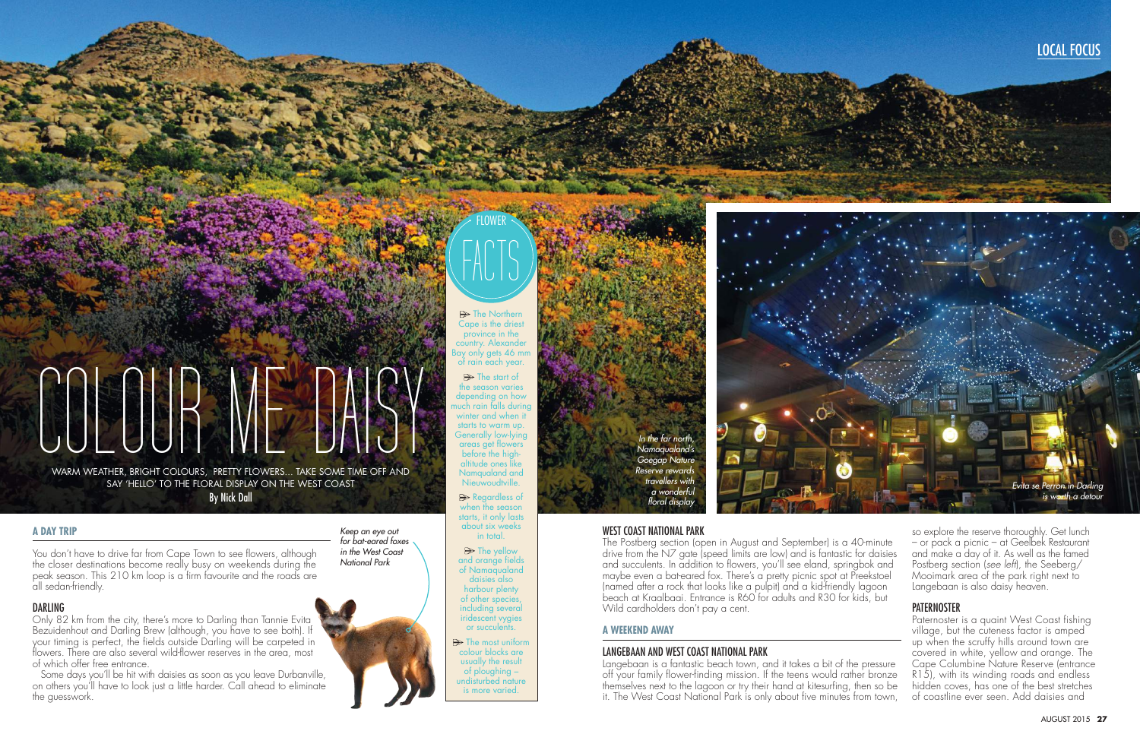

## FLOWER FACTS

 $\blacktriangleright$  The Northern Cape is the driest province in the country. Alexander  $\log$  only gets 46 mm of rain each year.

> $\rightarrow$  The start of the season varies depending on how much rain falls during winter and when it starts to warm up. Generally low-lying areas get flowers before the highaltitude ones like Namqualand and Nieuwoudtville.

Regardless of when the season starts, it only lasts about six weeks in total.

 $\triangleright$  The yellow and orange fields of Namaqualand daisies also harbour plenty of other species, including several iridescent vygies or succulents.

 $\Rightarrow$  The most uniform colour blocks are usually the result of ploughing – undisturbed nature is more varied.

# COLOR ME DAI WARM WEATHER, BRIGHT COLOURS, PRETTY FLOWERS... TAKE SOME TIME OFF AND

SAY 'HELLO' TO THE FLORAL DISPLAY ON THE WEST COAST **By Nick Dall** 

### **A DAY TRIP**

You don't have to drive far from Cape Town to see flowers, although the closer destinations become really busy on weekends during the peak season. This 210 km loop is a firm favourite and the roads are all sedan-friendly.

> Langebaan is a fantastic beach town, and it takes a bit of the pressure off your family flower-finding mission. If the teens would rather bronze themselves next to the lagoon or try their hand at kitesurfing, then so be it. The West Coast National Park is only about five minutes from town,

Only 82 km from the city, there's more to Darling than Tannie Evita Bezuidenhout and Darling Brew (although, you have to see both). If your timing is perfect, the fields outside Darling will be carpeted in flowers. There are also several wild-flower reserves in the area, most of which offer free entrance.

Some days you'll be hit with daisies as soon as you leave Durbanville, on others you'll have to look just a little harder. Call ahead to eliminate the guesswork.



## WEST COAST NATIONAL PARK

The Postberg section (open in August and September) is a 40-minute drive from the N7 gate (speed limits are low) and is fantastic for daisies and succulents. In addition to flowers, you'll see eland, springbok and maybe even a bat-eared fox. There's a pretty picnic spot at Preekstoel (named after a rock that looks like a pulpit) and a kid-friendly lagoon beach at Kraalbaai. Entrance is R60 for adults and R30 for kids, but Wild cardholders don't pay a cent.

## **A WEEKEND AWAY**

### LANGEBAAN AND WEST COAST NATIONAL PARK



*Keep an eye out for bat-eared foxes in the West Coast National Park*

## **DARLING**

so explore the reserve thoroughly. Get lunch – or pack a picnic – at Geelbek Restaurant and make a day of it. As well as the famed Postberg section (*see left*), the Seeberg/ Mooimark area of the park right next to Langebaan is also daisy heaven.

#### **PATERNOSTER**

Paternoster is a quaint West Coast fishing village, but the cuteness factor is amped up when the scruffy hills around town are covered in white, yellow and orange. The Cape Columbine Nature Reserve (entrance R15), with its winding roads and endless hidden coves, has one of the best stretches of coastline ever seen. Add daisies and